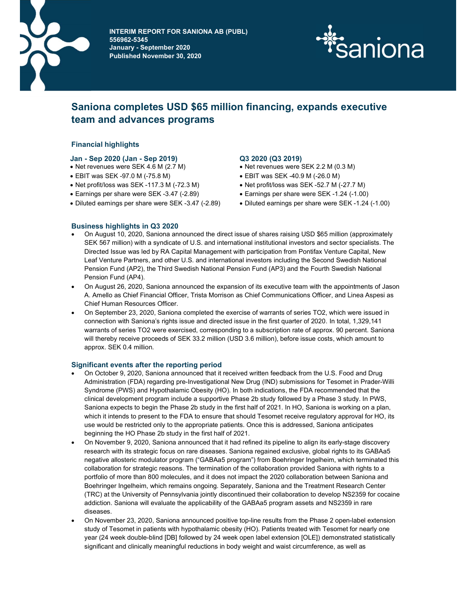

**INTERIM REPORT FOR SANIONA AB (PUBL)** AB (PUBL) **Perioden 2 S56962-5345** January - September 2020 Published November 30, 2020



# Saniona completes USD \$65 million financing, expands executive team and advances programs

# Financial highlights

# Jan - Sep 2020 (Jan - Sep 2019) Q3 2020 (Q3 2019)

- Net revenues were SEK 4.6 M (2.7 M) Net revenues were SEK 2.2 M (0.3 M)
- EBIT was SEK -97.0 M (-75.8 M)
- EBIT was SEK -97.0 M (-75.8 M) EBIT was SEK -40.9 M (-26.0 M)<br>● Net profit/loss was SEK -117.3 M (-72.3 M) Net profit/loss was SEK -52.7 M (-27.7 M)
- Earnings per share were SEK -3.47 (-2.89) Earnings per share were SEK -1.24 (-1.00)
- Diluted earnings per share were SEK -3.47 (-2.89) Diluted earnings per share were SEK -1.24 (-1.00)

- 
- 
- 
- 
- 

# Business highlights in Q3 2020

- On August 10, 2020, Saniona announced the direct issue of shares raising USD \$65 million (approximately SEK 567 million) with a syndicate of U.S. and international institutional investors and sector specialists. The Directed Issue was led by RA Capital Management with participation from Pontifax Venture Capital, New Leaf Venture Partners, and other U.S. and international investors including the Second Swedish National Pension Fund (AP2), the Third Swedish National Pension Fund (AP3) and the Fourth Swedish National Pension Fund (AP4).
- On August 26, 2020, Saniona announced the expansion of its executive team with the appointments of Jason A. Amello as Chief Financial Officer, Trista Morrison as Chief Communications Officer, and Linea Aspesi as Chief Human Resources Officer.
- On September 23, 2020, Saniona completed the exercise of warrants of series TO2, which were issued in connection with Saniona's rights issue and directed issue in the first quarter of 2020. In total, 1,329,141 warrants of series TO2 were exercised, corresponding to a subscription rate of approx. 90 percent. Saniona will thereby receive proceeds of SEK 33.2 million (USD 3.6 million), before issue costs, which amount to approx. SEK 0.4 million.

# Significant events after the reporting period

- On October 9, 2020, Saniona announced that it received written feedback from the U.S. Food and Drug Administration (FDA) regarding pre-Investigational New Drug (IND) submissions for Tesomet in Prader-Willi Syndrome (PWS) and Hypothalamic Obesity (HO). In both indications, the FDA recommended that the clinical development program include a supportive Phase 2b study followed by a Phase 3 study. In PWS, Saniona expects to begin the Phase 2b study in the first half of 2021. In HO, Saniona is working on a plan, which it intends to present to the FDA to ensure that should Tesomet receive regulatory approval for HO, its use would be restricted only to the appropriate patients. Once this is addressed, Saniona anticipates beginning the HO Phase 2b study in the first half of 2021.
- On November 9, 2020, Saniona announced that it had refined its pipeline to align its early-stage discovery research with its strategic focus on rare diseases. Saniona regained exclusive, global rights to its GABAa5 negative allosteric modulator program ("GABAa5 program") from Boehringer Ingelheim, which terminated this collaboration for strategic reasons. The termination of the collaboration provided Saniona with rights to a portfolio of more than 800 molecules, and it does not impact the 2020 collaboration between Saniona and Boehringer Ingelheim, which remains ongoing. Separately, Saniona and the Treatment Research Center (TRC) at the University of Pennsylvania jointly discontinued their collaboration to develop NS2359 for cocaine addiction. Saniona will evaluate the applicability of the GABAa5 program assets and NS2359 in rare diseases.
- On November 23, 2020, Saniona announced positive top-line results from the Phase 2 open-label extension study of Tesomet in patients with hypothalamic obesity (HO). Patients treated with Tesomet for nearly one year (24 week double-blind [DB] followed by 24 week open label extension [OLE]) demonstrated statistically significant and clinically meaningful reductions in body weight and waist circumference, as well as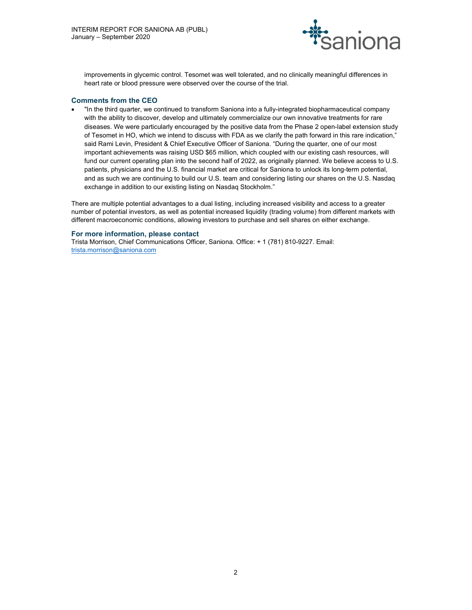

improvements in glycemic control. Tesomet was well tolerated, and no clinically meaningful differences in heart rate or blood pressure were observed over the course of the trial.

### Comments from the CEO

 "In the third quarter, we continued to transform Saniona into a fully-integrated biopharmaceutical company with the ability to discover, develop and ultimately commercialize our own innovative treatments for rare diseases. We were particularly encouraged by the positive data from the Phase 2 open-label extension study of Tesomet in HO, which we intend to discuss with FDA as we clarify the path forward in this rare indication," said Rami Levin, President & Chief Executive Officer of Saniona. "During the quarter, one of our most important achievements was raising USD \$65 million, which coupled with our existing cash resources, will fund our current operating plan into the second half of 2022, as originally planned. We believe access to U.S. patients, physicians and the U.S. financial market are critical for Saniona to unlock its long-term potential, and as such we are continuing to build our U.S. team and considering listing our shares on the U.S. Nasdaq exchange in addition to our existing listing on Nasdaq Stockholm."

There are multiple potential advantages to a dual listing, including increased visibility and access to a greater number of potential investors, as well as potential increased liquidity (trading volume) from different markets with different macroeconomic conditions, allowing investors to purchase and sell shares on either exchange.

### For more information, please contact

Trista Morrison, Chief Communications Officer, Saniona. Office: + 1 (781) 810-9227. Email: trista.morrison@saniona.com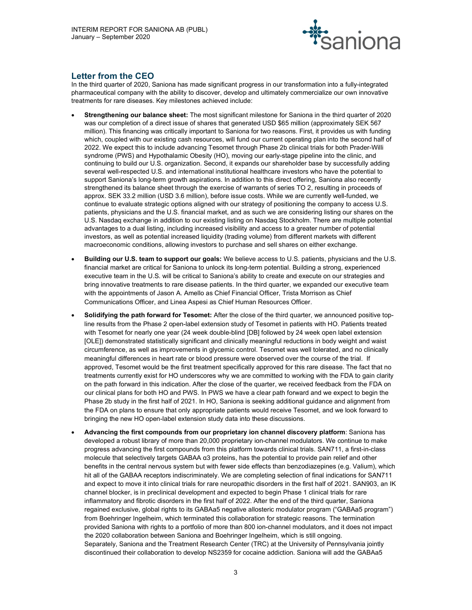

# Letter from the CEO

In the third quarter of 2020, Saniona has made significant progress in our transformation into a fully-integrated pharmaceutical company with the ability to discover, develop and ultimately commercialize our own innovative treatments for rare diseases. Key milestones achieved include:

- Strengthening our balance sheet: The most significant milestone for Saniona in the third quarter of 2020 was our completion of a direct issue of shares that generated USD \$65 million (approximately SEK 567 million). This financing was critically important to Saniona for two reasons. First, it provides us with funding which, coupled with our existing cash resources, will fund our current operating plan into the second half of 2022. We expect this to include advancing Tesomet through Phase 2b clinical trials for both Prader-Willi syndrome (PWS) and Hypothalamic Obesity (HO), moving our early-stage pipeline into the clinic, and continuing to build our U.S. organization. Second, it expands our shareholder base by successfully adding several well-respected U.S. and international institutional healthcare investors who have the potential to support Saniona's long-term growth aspirations. In addition to this direct offering, Saniona also recently strengthened its balance sheet through the exercise of warrants of series TO 2, resulting in proceeds of approx. SEK 33.2 million (USD 3.6 million), before issue costs. While we are currently well-funded, we continue to evaluate strategic options aligned with our strategy of positioning the company to access U.S. patients, physicians and the U.S. financial market, and as such we are considering listing our shares on the U.S. Nasdaq exchange in addition to our existing listing on Nasdaq Stockholm. There are multiple potential advantages to a dual listing, including increased visibility and access to a greater number of potential investors, as well as potential increased liquidity (trading volume) from different markets with different macroeconomic conditions, allowing investors to purchase and sell shares on either exchange.
- Building our U.S. team to support our goals: We believe access to U.S. patients, physicians and the U.S. financial market are critical for Saniona to unlock its long-term potential. Building a strong, experienced executive team in the U.S. will be critical to Saniona's ability to create and execute on our strategies and bring innovative treatments to rare disease patients. In the third quarter, we expanded our executive team with the appointments of Jason A. Amello as Chief Financial Officer, Trista Morrison as Chief Communications Officer, and Linea Aspesi as Chief Human Resources Officer.
- Solidifying the path forward for Tesomet: After the close of the third quarter, we announced positive topline results from the Phase 2 open-label extension study of Tesomet in patients with HO. Patients treated with Tesomet for nearly one year (24 week double-blind [DB] followed by 24 week open label extension [OLE]) demonstrated statistically significant and clinically meaningful reductions in body weight and waist circumference, as well as improvements in glycemic control. Tesomet was well tolerated, and no clinically meaningful differences in heart rate or blood pressure were observed over the course of the trial. If approved, Tesomet would be the first treatment specifically approved for this rare disease. The fact that no treatments currently exist for HO underscores why we are committed to working with the FDA to gain clarity on the path forward in this indication. After the close of the quarter, we received feedback from the FDA on our clinical plans for both HO and PWS. In PWS we have a clear path forward and we expect to begin the Phase 2b study in the first half of 2021. In HO, Saniona is seeking additional guidance and alignment from the FDA on plans to ensure that only appropriate patients would receive Tesomet, and we look forward to bringing the new HO open-label extension study data into these discussions.
- Advancing the first compounds from our proprietary ion channel discovery platform: Saniona has developed a robust library of more than 20,000 proprietary ion-channel modulators. We continue to make progress advancing the first compounds from this platform towards clinical trials. SAN711, a first-in-class molecule that selectively targets GABAA α3 proteins, has the potential to provide pain relief and other benefits in the central nervous system but with fewer side effects than benzodiazepines (e.g. Valium), which hit all of the GABAA receptors indiscriminately. We are completing selection of final indications for SAN711 and expect to move it into clinical trials for rare neuropathic disorders in the first half of 2021. SAN903, an IK channel blocker, is in preclinical development and expected to begin Phase 1 clinical trials for rare inflammatory and fibrotic disorders in the first half of 2022. After the end of the third quarter, Saniona regained exclusive, global rights to its GABAa5 negative allosteric modulator program ("GABAa5 program") from Boehringer Ingelheim, which terminated this collaboration for strategic reasons. The termination provided Saniona with rights to a portfolio of more than 800 ion-channel modulators, and it does not impact the 2020 collaboration between Saniona and Boehringer Ingelheim, which is still ongoing. Separately, Saniona and the Treatment Research Center (TRC) at the University of Pennsylvania jointly discontinued their collaboration to develop NS2359 for cocaine addiction. Saniona will add the GABAa5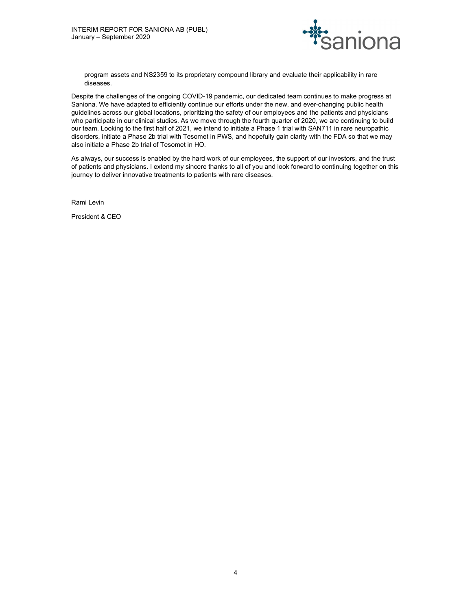

program assets and NS2359 to its proprietary compound library and evaluate their applicability in rare diseases.

Despite the challenges of the ongoing COVID-19 pandemic, our dedicated team continues to make progress at Saniona. We have adapted to efficiently continue our efforts under the new, and ever-changing public health guidelines across our global locations, prioritizing the safety of our employees and the patients and physicians who participate in our clinical studies. As we move through the fourth quarter of 2020, we are continuing to build our team. Looking to the first half of 2021, we intend to initiate a Phase 1 trial with SAN711 in rare neuropathic disorders, initiate a Phase 2b trial with Tesomet in PWS, and hopefully gain clarity with the FDA so that we may also initiate a Phase 2b trial of Tesomet in HO.

As always, our success is enabled by the hard work of our employees, the support of our investors, and the trust of patients and physicians. I extend my sincere thanks to all of you and look forward to continuing together on this journey to deliver innovative treatments to patients with rare diseases.

Rami Levin

President & CEO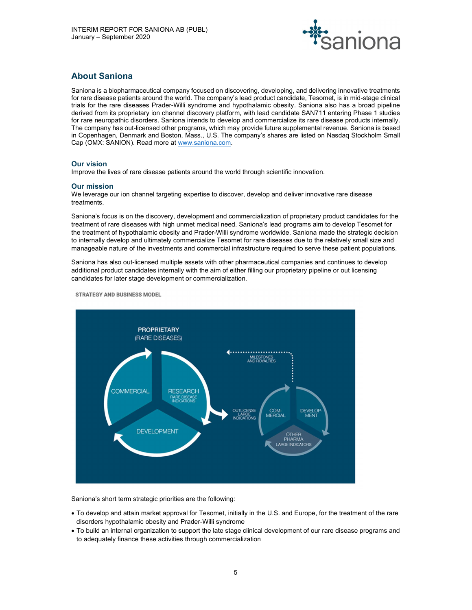

# About Saniona

Saniona is a biopharmaceutical company focused on discovering, developing, and delivering innovative treatments for rare disease patients around the world. The company's lead product candidate, Tesomet, is in mid-stage clinical trials for the rare diseases Prader-Willi syndrome and hypothalamic obesity. Saniona also has a broad pipeline derived from its proprietary ion channel discovery platform, with lead candidate SAN711 entering Phase 1 studies for rare neuropathic disorders. Saniona intends to develop and commercialize its rare disease products internally. The company has out-licensed other programs, which may provide future supplemental revenue. Saniona is based in Copenhagen, Denmark and Boston, Mass., U.S. The company's shares are listed on Nasdaq Stockholm Small Cap (OMX: SANION). Read more at www.saniona.com.

# Our vision

Improve the lives of rare disease patients around the world through scientific innovation.

# Our mission

We leverage our ion channel targeting expertise to discover, develop and deliver innovative rare disease treatments.

Saniona's focus is on the discovery, development and commercialization of proprietary product candidates for the treatment of rare diseases with high unmet medical need. Saniona's lead programs aim to develop Tesomet for the treatment of hypothalamic obesity and Prader-Willi syndrome worldwide. Saniona made the strategic decision to internally develop and ultimately commercialize Tesomet for rare diseases due to the relatively small size and manageable nature of the investments and commercial infrastructure required to serve these patient populations.

Saniona has also out-licensed multiple assets with other pharmaceutical companies and continues to develop additional product candidates internally with the aim of either filling our proprietary pipeline or out licensing candidates for later stage development or commercialization.

**STRATEGY AND BUSINESS MODEL** 



Saniona's short term strategic priorities are the following:

- To develop and attain market approval for Tesomet, initially in the U.S. and Europe, for the treatment of the rare disorders hypothalamic obesity and Prader-Willi syndrome
- To build an internal organization to support the late stage clinical development of our rare disease programs and to adequately finance these activities through commercialization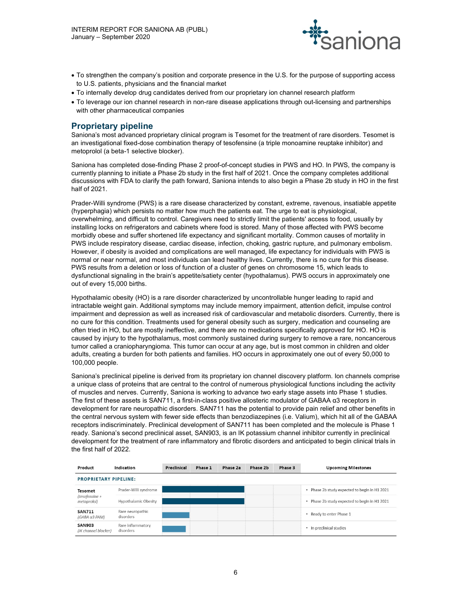

- To strengthen the company's position and corporate presence in the U.S. for the purpose of supporting access to U.S. patients, physicians and the financial market
- To internally develop drug candidates derived from our proprietary ion channel research platform
- To leverage our ion channel research in non-rare disease applications through out-licensing and partnerships with other pharmaceutical companies

# Proprietary pipeline

Saniona's most advanced proprietary clinical program is Tesomet for the treatment of rare disorders. Tesomet is an investigational fixed-dose combination therapy of tesofensine (a triple monoamine reuptake inhibitor) and metoprolol (a beta-1 selective blocker).

Saniona has completed dose-finding Phase 2 proof-of-concept studies in PWS and HO. In PWS, the company is currently planning to initiate a Phase 2b study in the first half of 2021. Once the company completes additional discussions with FDA to clarify the path forward, Saniona intends to also begin a Phase 2b study in HO in the first half of 2021.

Prader-Willi syndrome (PWS) is a rare disease characterized by constant, extreme, ravenous, insatiable appetite (hyperphagia) which persists no matter how much the patients eat. The urge to eat is physiological, overwhelming, and difficult to control. Caregivers need to strictly limit the patients' access to food, usually by installing locks on refrigerators and cabinets where food is stored. Many of those affected with PWS become morbidly obese and suffer shortened life expectancy and significant mortality. Common causes of mortality in PWS include respiratory disease, cardiac disease, infection, choking, gastric rupture, and pulmonary embolism. However, if obesity is avoided and complications are well managed, life expectancy for individuals with PWS is normal or near normal, and most individuals can lead healthy lives. Currently, there is no cure for this disease. PWS results from a deletion or loss of function of a cluster of genes on chromosome 15, which leads to dysfunctional signaling in the brain's appetite/satiety center (hypothalamus). PWS occurs in approximately one out of every 15,000 births.

Hypothalamic obesity (HO) is a rare disorder characterized by uncontrollable hunger leading to rapid and intractable weight gain. Additional symptoms may include memory impairment, attention deficit, impulse control impairment and depression as well as increased risk of cardiovascular and metabolic disorders. Currently, there is no cure for this condition. Treatments used for general obesity such as surgery, medication and counseling are often tried in HO, but are mostly ineffective, and there are no medications specifically approved for HO. HO is caused by injury to the hypothalamus, most commonly sustained during surgery to remove a rare, noncancerous tumor called a craniopharyngioma. This tumor can occur at any age, but is most common in children and older adults, creating a burden for both patients and families. HO occurs in approximately one out of every 50,000 to 100,000 people.

Saniona's preclinical pipeline is derived from its proprietary ion channel discovery platform. Ion channels comprise a unique class of proteins that are central to the control of numerous physiological functions including the activity of muscles and nerves. Currently, Saniona is working to advance two early stage assets into Phase 1 studies. The first of these assets is SAN711, a first-in-class positive allosteric modulator of GABAA α3 receptors in development for rare neuropathic disorders. SAN711 has the potential to provide pain relief and other benefits in the central nervous system with fewer side effects than benzodiazepines (i.e. Valium), which hit all of the GABAA receptors indiscriminately. Preclinical development of SAN711 has been completed and the molecule is Phase 1 ready. Saniona's second preclinical asset, SAN903, is an IK potassium channel inhibitor currently in preclinical development for the treatment of rare inflammatory and fibrotic disorders and anticipated to begin clinical trials in the first half of 2022.

| Product                               | Indication                     | Preclinical | Phase 1 | Phase 2a | Phase 2b | Phase 3 | <b>Upcoming Milestones</b>                    |
|---------------------------------------|--------------------------------|-------------|---------|----------|----------|---------|-----------------------------------------------|
| <b>PROPRIETARY PIPELINE:</b>          |                                |             |         |          |          |         |                                               |
| <b>Tesomet</b>                        | Prader-Willi syndrome          |             |         |          |          |         | • Phase 2b study expected to begin in H1 2021 |
| $tesofensine +$<br>metoprolol)        | Hypothalamic Obesity           |             |         |          |          |         | • Phase 2b study expected to begin in H1 2021 |
| <b>SAN711</b><br>$(GABA \alpha3 PAM)$ | Rare neuropathic<br>disorders  |             |         |          |          |         | • Ready to enter Phase 1                      |
| <b>SAN903</b><br>(IK channel blocker) | Rare inflammatory<br>disorders |             |         |          |          |         | • In preclinical studies                      |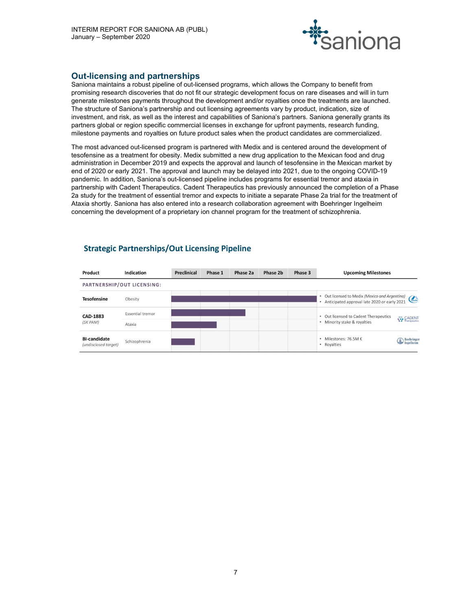

# Out-licensing and partnerships

Saniona maintains a robust pipeline of out-licensed programs, which allows the Company to benefit from promising research discoveries that do not fit our strategic development focus on rare diseases and will in turn generate milestones payments throughout the development and/or royalties once the treatments are launched. The structure of Saniona's partnership and out licensing agreements vary by product, indication, size of investment, and risk, as well as the interest and capabilities of Saniona's partners. Saniona generally grants its partners global or region specific commercial licenses in exchange for upfront payments, research funding, milestone payments and royalties on future product sales when the product candidates are commercialized.

The most advanced out-licensed program is partnered with Medix and is centered around the development of tesofensine as a treatment for obesity. Medix submitted a new drug application to the Mexican food and drug administration in December 2019 and expects the approval and launch of tesofensine in the Mexican market by end of 2020 or early 2021. The approval and launch may be delayed into 2021, due to the ongoing COVID-19 pandemic. In addition, Saniona's out-licensed pipeline includes programs for essential tremor and ataxia in partnership with Cadent Therapeutics. Cadent Therapeutics has previously announced the completion of a Phase 2a study for the treatment of essential tremor and expects to initiate a separate Phase 2a trial for the treatment of Ataxia shortly. Saniona has also entered into a research collaboration agreement with Boehringer Ingelheim concerning the development of a proprietary ion channel program for the treatment of schizophrenia.

| Product                                     | Indication                 | Preclinical | Phase 1 | Phase 2a | Phase 2b | Phase 3 | <b>Upcoming Milestones</b>                                                                                                    |
|---------------------------------------------|----------------------------|-------------|---------|----------|----------|---------|-------------------------------------------------------------------------------------------------------------------------------|
|                                             | PARTNERSHIP/OUT LICENSING: |             |         |          |          |         |                                                                                                                               |
| <b>Tesofensine</b>                          | Obesity                    |             |         |          |          |         | Out licensed to Medix (Mexico and Argentina)<br><i><u><u>(medix</u></u></i> )<br>Anticipated approval late 2020 or early 2021 |
| CAD-1883                                    | <b>Essential tremor</b>    |             |         |          |          |         | • Out licensed to Cadent Therapeutics                                                                                         |
| (SK PAM)                                    | Ataxia                     |             |         |          |          |         | <b>CADENT</b><br>Therapeutics<br>• Minority stake & royalties                                                                 |
| <b>BI-candidate</b><br>(undisclosed taraet) | Schizophrenia              |             |         |          |          |         | • Milestones: 76.5M $\epsilon$<br>Boehringer<br>• Royalties                                                                   |

# **Strategic Partnerships/Out Licensing Pipeline**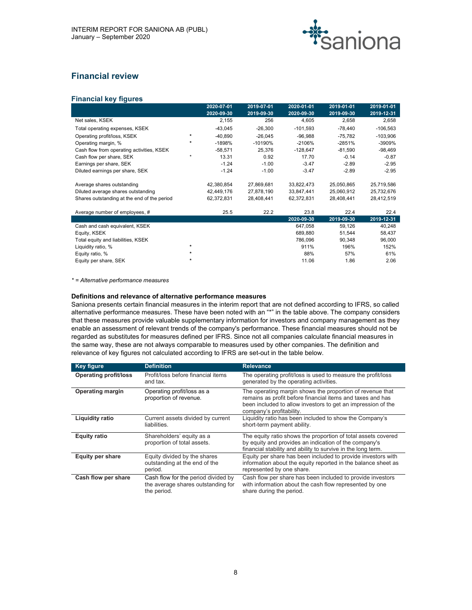

# Financial review

# Financial key figures

|                                             |         | 2020-07-01 | 2019-07-01 | 2020-01-01 | 2019-01-01 | 2019-01-01 |
|---------------------------------------------|---------|------------|------------|------------|------------|------------|
|                                             |         | 2020-09-30 | 2019-09-30 | 2020-09-30 | 2019-09-30 | 2019-12-31 |
| Net sales, KSEK                             |         | 2,155      | 256        | 4,605      | 2,658      | 2,658      |
| Total operating expenses, KSEK              |         | $-43,045$  | $-26,300$  | $-101,593$ | -78,440    | $-106,563$ |
| Operating profit/loss, KSEK                 | *       | $-40,890$  | $-26,045$  | $-96,988$  | $-75,782$  | $-103,906$ |
| Operating margin, %                         | $\star$ | -1898%     | -10190%    | $-2106%$   | $-2851%$   | -3909%     |
| Cash flow from operating activities, KSEK   |         | $-58,571$  | 25,376     | $-128,647$ | $-81,590$  | $-98,469$  |
| Cash flow per share, SEK                    | $\star$ | 13.31      | 0.92       | 17.70      | $-0.14$    | $-0.87$    |
| Earnings per share, SEK                     |         | $-1.24$    | $-1.00$    | $-3.47$    | $-2.89$    | $-2.95$    |
| Diluted earnings per share, SEK             |         | $-1.24$    | $-1.00$    | $-3.47$    | $-2.89$    | $-2.95$    |
| Average shares outstanding                  |         | 42,380,854 | 27,869,681 | 33,822,473 | 25,050,865 | 25,719,586 |
| Diluted average shares outstanding          |         | 42,449,176 | 27,878,190 | 33,847,441 | 25,060,912 | 25,732,676 |
| Shares outstanding at the end of the period |         | 62,372,831 | 28,408,441 | 62,372,831 | 28,408,441 | 28,412,519 |
| Average number of employees, #              |         | 25.5       | 22.2       | 23.8       | 22.4       | 22.4       |
|                                             |         |            |            | 2020-09-30 | 2019-09-30 | 2019-12-31 |
| Cash and cash equivalent, KSEK              |         |            |            | 647,058    | 59,126     | 40,248     |
| Equity, KSEK                                |         |            |            | 689,880    | 51,544     | 58,437     |
| Total equity and liabilities, KSEK          |         |            |            | 786,096    | 90,348     | 96,000     |
| Liquidity ratio, %                          | $\star$ |            |            | 911%       | 196%       | 152%       |
| Equity ratio, %                             | $\star$ |            |            | 88%        | 57%        | 61%        |
| Equity per share, SEK                       | $\star$ |            |            | 11.06      | 1.86       | 2.06       |

\* = Alternative performance measures

#### Definitions and relevance of alternative performance measures

Saniona presents certain financial measures in the interim report that are not defined according to IFRS, so called alternative performance measures. These have been noted with an "\*" in the table above. The company considers that these measures provide valuable supplementary information for investors and company management as they enable an assessment of relevant trends of the company's performance. These financial measures should not be regarded as substitutes for measures defined per IFRS. Since not all companies calculate financial measures in the same way, these are not always comparable to measures used by other companies. The definition and relevance of key figures not calculated according to IFRS are set-out in the table below.

| <b>Key figure</b>            | <b>Definition</b>                                                                        | <b>Relevance</b>                                                                                                                                                                                                    |
|------------------------------|------------------------------------------------------------------------------------------|---------------------------------------------------------------------------------------------------------------------------------------------------------------------------------------------------------------------|
| <b>Operating profit/loss</b> | Profit/loss before financial items<br>and tax.                                           | The operating profit/loss is used to measure the profit/loss<br>generated by the operating activities.                                                                                                              |
| <b>Operating margin</b>      | Operating profit/loss as a<br>proportion of revenue.                                     | The operating margin shows the proportion of revenue that<br>remains as profit before financial items and taxes and has<br>been included to allow investors to get an impression of the<br>company's profitability. |
| <b>Liquidity ratio</b>       | Current assets divided by current<br>liabilities.                                        | Liquidity ratio has been included to show the Company's<br>short-term payment ability.                                                                                                                              |
| <b>Equity ratio</b>          | Shareholders' equity as a<br>proportion of total assets.                                 | The equity ratio shows the proportion of total assets covered<br>by equity and provides an indication of the company's<br>financial stability and ability to survive in the long term.                              |
| <b>Equity per share</b>      | Equity divided by the shares<br>outstanding at the end of the<br>period.                 | Equity per share has been included to provide investors with<br>information about the equity reported in the balance sheet as<br>represented by one share.                                                          |
| Cash flow per share          | Cash flow for the period divided by<br>the average shares outstanding for<br>the period. | Cash flow per share has been included to provide investors<br>with information about the cash flow represented by one<br>share during the period.                                                                   |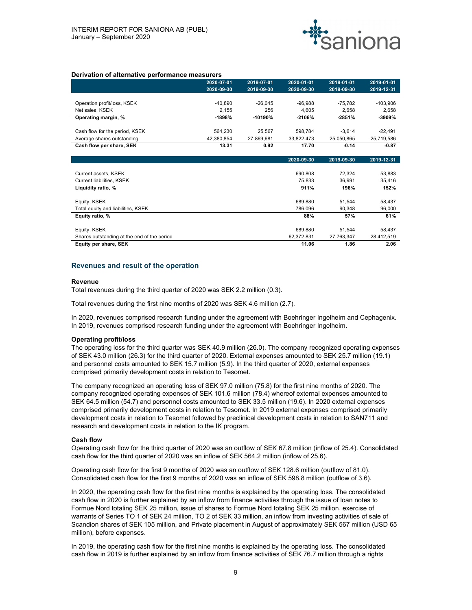

### Derivation of alternative performance measurers

|                                             | 2020-07-01 | 2019-07-01 | 2020-01-01 | 2019-01-01 | 2019-01-01 |
|---------------------------------------------|------------|------------|------------|------------|------------|
|                                             | 2020-09-30 | 2019-09-30 | 2020-09-30 | 2019-09-30 | 2019-12-31 |
|                                             |            |            |            |            |            |
| Operation profit/loss, KSEK                 | $-40,890$  | $-26,045$  | $-96,988$  | $-75,782$  | $-103,906$ |
| Net sales, KSEK                             | 2,155      | 256        | 4,605      | 2,658      | 2,658      |
| Operating margin, %                         | $-1898%$   | $-10190%$  | -2106%     | $-2851%$   | -3909%     |
| Cash flow for the period, KSEK              | 564,230    | 25,567     | 598,784    | $-3,614$   | $-22,491$  |
| Average shares outstanding                  | 42,380,854 | 27,869,681 | 33,822,473 | 25,050,865 | 25,719,586 |
| Cash flow per share, SEK                    | 13.31      | 0.92       | 17.70      | $-0.14$    | $-0.87$    |
|                                             |            |            |            |            |            |
|                                             |            |            | 2020-09-30 | 2019-09-30 | 2019-12-31 |
|                                             |            |            |            |            |            |
| Current assets, KSEK                        |            |            | 690,808    | 72,324     | 53,883     |
| Current liabilities, KSEK                   |            |            | 75,833     | 36,991     | 35,416     |
| Liquidity ratio, %                          |            |            | 911%       | 196%       | 152%       |
| Equity, KSEK                                |            |            | 689,880    | 51,544     | 58,437     |
| Total equity and liabilities, KSEK          |            |            | 786,096    | 90,348     | 96,000     |
| Equity ratio, %                             |            |            | 88%        | 57%        | 61%        |
| Equity, KSEK                                |            |            | 689,880    | 51,544     | 58,437     |
| Shares outstanding at the end of the period |            |            | 62,372,831 | 27,763,347 | 28,412,519 |
| Equity per share, SEK                       |            |            | 11.06      | 1.86       | 2.06       |

### Revenues and result of the operation

#### Revenue

Total revenues during the third quarter of 2020 was SEK 2.2 million (0.3).

Total revenues during the first nine months of 2020 was SEK 4.6 million (2.7).

In 2020, revenues comprised research funding under the agreement with Boehringer Ingelheim and Cephagenix. In 2019, revenues comprised research funding under the agreement with Boehringer Ingelheim.

#### Operating profit/loss

The operating loss for the third quarter was SEK 40.9 million (26.0). The company recognized operating expenses of SEK 43.0 million (26.3) for the third quarter of 2020. External expenses amounted to SEK 25.7 million (19.1) and personnel costs amounted to SEK 15.7 million (5.9). In the third quarter of 2020, external expenses comprised primarily development costs in relation to Tesomet.

The company recognized an operating loss of SEK 97.0 million (75.8) for the first nine months of 2020. The company recognized operating expenses of SEK 101.6 million (78.4) whereof external expenses amounted to SEK 64.5 million (54.7) and personnel costs amounted to SEK 33.5 million (19.6). In 2020 external expenses comprised primarily development costs in relation to Tesomet. In 2019 external expenses comprised primarily development costs in relation to Tesomet followed by preclinical development costs in relation to SAN711 and research and development costs in relation to the IK program.

#### Cash flow

Operating cash flow for the third quarter of 2020 was an outflow of SEK 67.8 million (inflow of 25.4). Consolidated cash flow for the third quarter of 2020 was an inflow of SEK 564.2 million (inflow of 25.6).

Operating cash flow for the first 9 months of 2020 was an outflow of SEK 128.6 million (outflow of 81.0). Consolidated cash flow for the first 9 months of 2020 was an inflow of SEK 598.8 million (outflow of 3.6).

In 2020, the operating cash flow for the first nine months is explained by the operating loss. The consolidated cash flow in 2020 is further explained by an inflow from finance activities through the issue of loan notes to Formue Nord totaling SEK 25 million, issue of shares to Formue Nord totaling SEK 25 million, exercise of warrants of Series TO 1 of SEK 24 million, TO 2 of SEK 33 million, an inflow from investing activities of sale of Scandion shares of SEK 105 million, and Private placement in August of approximately SEK 567 million (USD 65 million), before expenses.

In 2019, the operating cash flow for the first nine months is explained by the operating loss. The consolidated cash flow in 2019 is further explained by an inflow from finance activities of SEK 76.7 million through a rights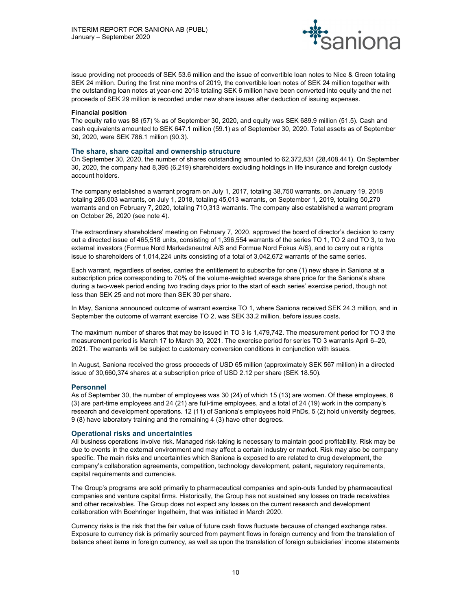

issue providing net proceeds of SEK 53.6 million and the issue of convertible loan notes to Nice & Green totaling SEK 24 million. During the first nine months of 2019, the convertible loan notes of SEK 24 million together with the outstanding loan notes at year-end 2018 totaling SEK 6 million have been converted into equity and the net proceeds of SEK 29 million is recorded under new share issues after deduction of issuing expenses.

### Financial position

The equity ratio was 88 (57) % as of September 30, 2020, and equity was SEK 689.9 million (51.5). Cash and cash equivalents amounted to SEK 647.1 million (59.1) as of September 30, 2020. Total assets as of September 30, 2020, were SEK 786.1 million (90.3).

### The share, share capital and ownership structure

On September 30, 2020, the number of shares outstanding amounted to 62,372,831 (28,408,441). On September 30, 2020, the company had 8,395 (6,219) shareholders excluding holdings in life insurance and foreign custody account holders.

The company established a warrant program on July 1, 2017, totaling 38,750 warrants, on January 19, 2018 totaling 286,003 warrants, on July 1, 2018, totaling 45,013 warrants, on September 1, 2019, totaling 50,270 warrants and on February 7, 2020, totaling 710,313 warrants. The company also established a warrant program on October 26, 2020 (see note 4).

The extraordinary shareholders' meeting on February 7, 2020, approved the board of director's decision to carry out a directed issue of 465,518 units, consisting of 1,396,554 warrants of the series TO 1, TO 2 and TO 3, to two external investors (Formue Nord Markedsneutral A/S and Formue Nord Fokus A/S), and to carry out a rights issue to shareholders of 1,014,224 units consisting of a total of 3,042,672 warrants of the same series.

Each warrant, regardless of series, carries the entitlement to subscribe for one (1) new share in Saniona at a subscription price corresponding to 70% of the volume-weighted average share price for the Saniona's share during a two-week period ending two trading days prior to the start of each series' exercise period, though not less than SEK 25 and not more than SEK 30 per share.

In May, Saniona announced outcome of warrant exercise TO 1, where Saniona received SEK 24.3 million, and in September the outcome of warrant exercise TO 2, was SEK 33.2 million, before issues costs.

The maximum number of shares that may be issued in TO 3 is 1,479,742. The measurement period for TO 3 the measurement period is March 17 to March 30, 2021. The exercise period for series TO 3 warrants April 6–20, 2021. The warrants will be subject to customary conversion conditions in conjunction with issues.

In August, Saniona received the gross proceeds of USD 65 million (approximately SEK 567 million) in a directed issue of 30,660,374 shares at a subscription price of USD 2.12 per share (SEK 18.50).

#### Personnel

As of September 30, the number of employees was 30 (24) of which 15 (13) are women. Of these employees, 6 (3) are part-time employees and 24 (21) are full-time employees, and a total of 24 (19) work in the company's research and development operations. 12 (11) of Saniona's employees hold PhDs, 5 (2) hold university degrees, 9 (8) have laboratory training and the remaining 4 (3) have other degrees.

#### Operational risks and uncertainties

All business operations involve risk. Managed risk-taking is necessary to maintain good profitability. Risk may be due to events in the external environment and may affect a certain industry or market. Risk may also be company specific. The main risks and uncertainties which Saniona is exposed to are related to drug development, the company's collaboration agreements, competition, technology development, patent, regulatory requirements, capital requirements and currencies.

The Group's programs are sold primarily to pharmaceutical companies and spin-outs funded by pharmaceutical companies and venture capital firms. Historically, the Group has not sustained any losses on trade receivables and other receivables. The Group does not expect any losses on the current research and development collaboration with Boehringer Ingelheim, that was initiated in March 2020.

Currency risks is the risk that the fair value of future cash flows fluctuate because of changed exchange rates. Exposure to currency risk is primarily sourced from payment flows in foreign currency and from the translation of balance sheet items in foreign currency, as well as upon the translation of foreign subsidiaries' income statements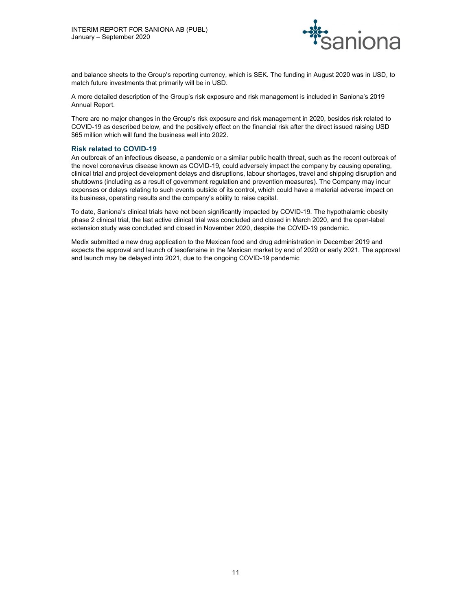

and balance sheets to the Group's reporting currency, which is SEK. The funding in August 2020 was in USD, to match future investments that primarily will be in USD.

A more detailed description of the Group's risk exposure and risk management is included in Saniona's 2019 Annual Report.

There are no major changes in the Group's risk exposure and risk management in 2020, besides risk related to COVID-19 as described below, and the positively effect on the financial risk after the direct issued raising USD \$65 million which will fund the business well into 2022.

### Risk related to COVID-19

An outbreak of an infectious disease, a pandemic or a similar public health threat, such as the recent outbreak of the novel coronavirus disease known as COVID-19, could adversely impact the company by causing operating, clinical trial and project development delays and disruptions, labour shortages, travel and shipping disruption and shutdowns (including as a result of government regulation and prevention measures). The Company may incur expenses or delays relating to such events outside of its control, which could have a material adverse impact on its business, operating results and the company's ability to raise capital.

To date, Saniona's clinical trials have not been significantly impacted by COVID-19. The hypothalamic obesity phase 2 clinical trial, the last active clinical trial was concluded and closed in March 2020, and the open-label extension study was concluded and closed in November 2020, despite the COVID-19 pandemic.

Medix submitted a new drug application to the Mexican food and drug administration in December 2019 and expects the approval and launch of tesofensine in the Mexican market by end of 2020 or early 2021. The approval and launch may be delayed into 2021, due to the ongoing COVID-19 pandemic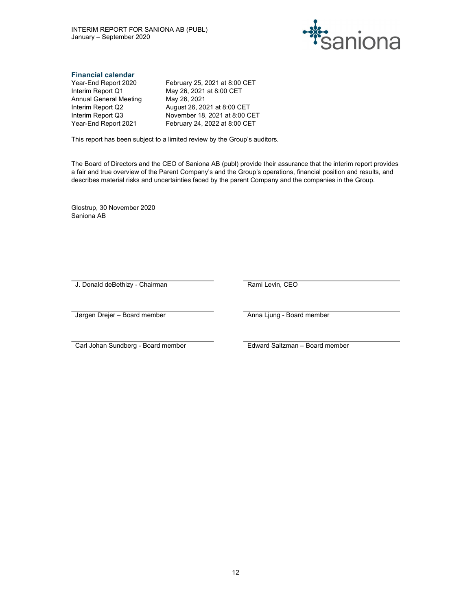

# Financial calendar

Annual General Meeting May 26, 2021

Year-End Report 2020 February 25, 2021 at 8:00 CET Interim Report Q1 May 26, 2021 at 8:00 CET Interim Report Q2 August 26, 2021 at 8:00 CET Interim Report Q3 November 18, 2021 at 8:00 CET Year-End Report 2021 February 24, 2022 at 8:00 CET

This report has been subject to a limited review by the Group's auditors.

The Board of Directors and the CEO of Saniona AB (publ) provide their assurance that the interim report provides a fair and true overview of the Parent Company's and the Group's operations, financial position and results, and describes material risks and uncertainties faced by the parent Company and the companies in the Group.

Glostrup, 30 November 2020 Saniona AB

J. Donald deBethizy - Chairman **Rami Levin, CEO**<br>Rami Levin, CEO

Jørgen Drejer – Board member Anna Ljung - Board member

Carl Johan Sundberg - Board member Edward Saltzman – Board member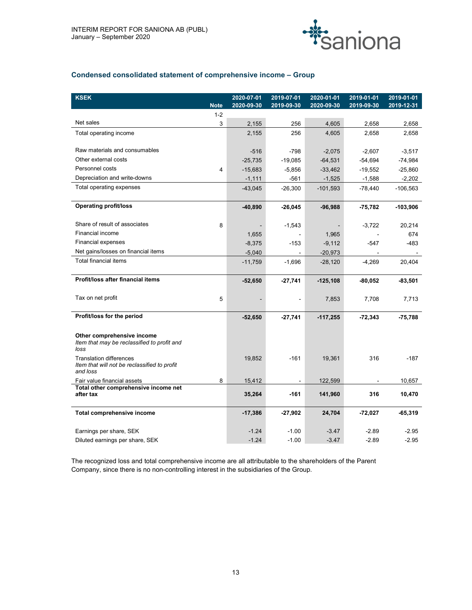

# Condensed consolidated statement of comprehensive income – Group

| <b>KSEK</b>                                                               |             | 2020-07-01 | 2019-07-01     | 2020-01-01               | 2019-01-01     | 2019-01-01 |
|---------------------------------------------------------------------------|-------------|------------|----------------|--------------------------|----------------|------------|
|                                                                           | <b>Note</b> | 2020-09-30 | 2019-09-30     | 2020-09-30               | 2019-09-30     | 2019-12-31 |
|                                                                           | $1 - 2$     |            |                |                          |                |            |
| Net sales                                                                 | 3           | 2,155      | 256            | 4,605                    | 2,658          | 2,658      |
| Total operating income                                                    |             | 2,155      | 256            | 4,605                    | 2,658          | 2,658      |
| Raw materials and consumables                                             |             | $-516$     | $-798$         | $-2,075$                 | $-2,607$       | $-3,517$   |
| Other external costs                                                      |             | $-25,735$  | $-19,085$      | $-64,531$                | $-54,694$      | $-74,984$  |
| Personnel costs                                                           | 4           | $-15,683$  | $-5,856$       | $-33,462$                | $-19,552$      | $-25,860$  |
| Depreciation and write-downs                                              |             | $-1,111$   | -561           | $-1,525$                 | $-1,588$       | $-2,202$   |
| Total operating expenses                                                  |             | $-43,045$  | $-26,300$      | $-101,593$               | $-78,440$      | $-106,563$ |
|                                                                           |             |            |                |                          |                |            |
| <b>Operating profit/loss</b>                                              |             | -40,890    | -26,045        | -96,988                  | $-75,782$      | $-103,906$ |
|                                                                           |             |            |                |                          |                |            |
| Share of result of associates                                             | 8           |            | $-1,543$       | $\overline{\phantom{a}}$ | $-3,722$       | 20,214     |
| Financial income                                                          |             | 1,655      | $\blacksquare$ | 1,965                    | $\blacksquare$ | 674        |
| <b>Financial expenses</b>                                                 |             | $-8,375$   | $-153$         | $-9,112$                 | $-547$         | $-483$     |
| Net gains/losses on financial items                                       |             | $-5,040$   | $\mathbf{r}$   | $-20,973$                | $\sim$         |            |
| Total financial items                                                     |             | $-11,759$  | $-1,696$       | $-28,120$                | -4,269         | 20,404     |
| Profit/loss after financial items                                         |             | $-52,650$  | $-27,741$      | $-125,108$               | $-80,052$      | $-83,501$  |
|                                                                           |             |            |                |                          |                |            |
| Tax on net profit                                                         | 5           |            | $\sim$         | 7,853                    | 7,708          | 7,713      |
|                                                                           |             |            |                |                          |                |            |
| Profit/loss for the period                                                |             | $-52,650$  | $-27,741$      | $-117,255$               | $-72,343$      | $-75,788$  |
|                                                                           |             |            |                |                          |                |            |
| Other comprehensive income<br>Item that may be reclassified to profit and |             |            |                |                          |                |            |
| loss                                                                      |             |            |                |                          |                |            |
| <b>Translation differences</b>                                            |             | 19,852     | $-161$         | 19,361                   | 316            | $-187$     |
| Item that will not be reclassified to profit                              |             |            |                |                          |                |            |
| and loss                                                                  |             |            |                |                          |                |            |
| Fair value financial assets<br>Total other comprehensive income net       | 8           | 15,412     | $\blacksquare$ | 122,599                  |                | 10,657     |
| after tax                                                                 |             | 35,264     | -161           | 141,960                  | 316            | 10,470     |
| Total comprehensive income                                                |             | $-17,386$  | $-27,902$      | 24,704                   | $-72,027$      | $-65,319$  |
|                                                                           |             |            |                |                          |                |            |
| Earnings per share, SEK                                                   |             | $-1.24$    | $-1.00$        | $-3.47$                  | $-2.89$        | $-2.95$    |
| Diluted earnings per share, SEK                                           |             | $-1.24$    | $-1.00$        | $-3.47$                  | $-2.89$        | $-2.95$    |

The recognized loss and total comprehensive income are all attributable to the shareholders of the Parent Company, since there is no non-controlling interest in the subsidiaries of the Group.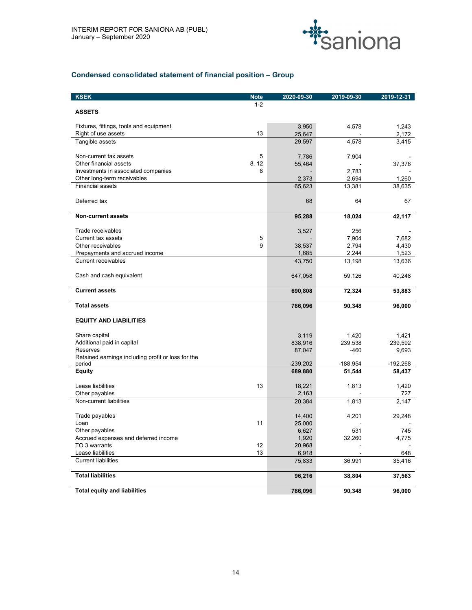

# Condensed consolidated statement of financial position – Group

| <b>KSEK</b>                                        | <b>Note</b> | 2020-09-30 | 2019-09-30 | 2019-12-31 |
|----------------------------------------------------|-------------|------------|------------|------------|
|                                                    | $1 - 2$     |            |            |            |
| <b>ASSETS</b>                                      |             |            |            |            |
|                                                    |             |            |            |            |
| Fixtures, fittings, tools and equipment            |             | 3,950      | 4,578      | 1,243      |
| Right of use assets                                | 13          | 25,647     |            | 2,172      |
| Tangible assets                                    |             | 29,597     | 4,578      | 3,415      |
| Non-current tax assets                             | 5           | 7,786      | 7,904      |            |
| Other financial assets                             | 8, 12       | 55,464     |            | 37,376     |
| Investments in associated companies                | 8           |            | 2,783      |            |
| Other long-term receivables                        |             | 2,373      | 2,694      | 1,260      |
| <b>Financial assets</b>                            |             | 65,623     | 13,381     | 38,635     |
|                                                    |             |            |            |            |
| Deferred tax                                       |             | 68         | 64         | 67         |
|                                                    |             |            |            |            |
| <b>Non-current assets</b>                          |             | 95,288     | 18,024     | 42,117     |
|                                                    |             |            |            |            |
| Trade receivables                                  |             | 3,527      | 256        |            |
| Current tax assets                                 | 5           |            | 7,904      | 7,682      |
| Other receivables                                  | 9           | 38,537     | 2,794      | 4,430      |
| Prepayments and accrued income                     |             | 1,685      | 2,244      | 1,523      |
| <b>Current receivables</b>                         |             | 43,750     | 13,198     | 13,636     |
|                                                    |             |            |            |            |
| Cash and cash equivalent                           |             | 647,058    | 59,126     | 40,248     |
| <b>Current assets</b>                              |             | 690,808    | 72,324     | 53,883     |
|                                                    |             |            |            |            |
| <b>Total assets</b>                                |             | 786,096    | 90,348     | 96,000     |
|                                                    |             |            |            |            |
| <b>EQUITY AND LIABILITIES</b>                      |             |            |            |            |
|                                                    |             |            |            |            |
| Share capital                                      |             | 3,119      | 1,420      | 1,421      |
| Additional paid in capital                         |             | 838,916    | 239,538    | 239,592    |
| Reserves                                           |             | 87,047     | $-460$     | 9,693      |
| Retained earnings including profit or loss for the |             |            |            |            |
| period                                             |             | $-239,202$ | $-188,954$ | $-192,268$ |
| <b>Equity</b>                                      |             | 689,880    | 51,544     | 58,437     |
| Lease liabilities                                  | 13          | 18,221     | 1,813      | 1,420      |
| Other payables                                     |             | 2,163      |            | 727        |
| Non-current liabilities                            |             | 20,384     | 1,813      | 2,147      |
|                                                    |             |            |            |            |
| Trade payables                                     |             | 14,400     | 4,201      | 29,248     |
| Loan                                               | 11          | 25,000     |            |            |
| Other payables                                     |             | 6,627      | 531        | 745        |
| Accrued expenses and deferred income               |             | 1,920      | 32,260     | 4,775      |
| TO 3 warrants                                      | 12          | 20,968     |            |            |
| Lease liabilities                                  | 13          | 6,918      |            | 648        |
| <b>Current liabilities</b>                         |             | 75,833     | 36,991     | 35,416     |
|                                                    |             |            |            |            |
| <b>Total liabilities</b>                           |             | 96,216     | 38,804     | 37,563     |
|                                                    |             |            |            |            |
| <b>Total equity and liabilities</b>                |             | 786,096    | 90,348     | 96,000     |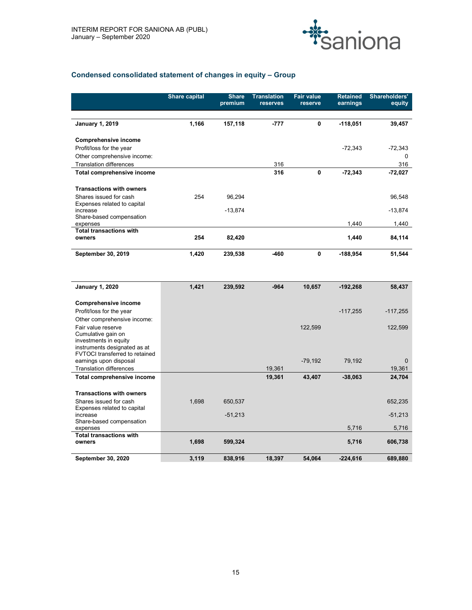

# Condensed consolidated statement of changes in equity – Group

|                                                                             | <b>Share capital</b> | <b>Share</b><br>premium | <b>Translation</b><br>reserves | <b>Fair value</b><br>reserve | <b>Retained</b><br>earnings | Shareholders'<br>equity |
|-----------------------------------------------------------------------------|----------------------|-------------------------|--------------------------------|------------------------------|-----------------------------|-------------------------|
|                                                                             |                      |                         |                                |                              |                             |                         |
| <b>January 1, 2019</b>                                                      | 1,166                | 157,118                 | $-777$                         | 0                            | $-118,051$                  | 39,457                  |
| <b>Comprehensive income</b>                                                 |                      |                         |                                |                              |                             |                         |
| Profit/loss for the year                                                    |                      |                         |                                |                              | $-72,343$                   | $-72,343$               |
| Other comprehensive income:                                                 |                      |                         |                                |                              |                             | $\Omega$                |
| <b>Translation differences</b><br>Total comprehensive income                |                      |                         | 316<br>316                     | 0                            | $-72,343$                   | 316<br>$-72,027$        |
|                                                                             |                      |                         |                                |                              |                             |                         |
| <b>Transactions with owners</b>                                             |                      |                         |                                |                              |                             |                         |
| Shares issued for cash<br>Expenses related to capital                       | 254                  | 96,294                  |                                |                              |                             | 96,548                  |
| increase                                                                    |                      | $-13,874$               |                                |                              |                             | $-13,874$               |
| Share-based compensation<br>expenses                                        |                      |                         |                                |                              | 1,440                       | 1,440                   |
| <b>Total transactions with</b><br>owners                                    | 254                  | 82,420                  |                                |                              | 1,440                       | 84,114                  |
|                                                                             |                      |                         |                                |                              |                             |                         |
| September 30, 2019                                                          | 1,420                | 239,538                 | $-460$                         | $\mathbf 0$                  | $-188,954$                  | 51,544                  |
| <b>January 1, 2020</b>                                                      | 1,421                | 239,592                 | $-964$                         | 10,657                       | $-192,268$                  | 58,437                  |
|                                                                             |                      |                         |                                |                              |                             |                         |
| <b>Comprehensive income</b>                                                 |                      |                         |                                |                              |                             |                         |
| Profit/loss for the year<br>Other comprehensive income:                     |                      |                         |                                |                              | $-117,255$                  | $-117,255$              |
| Fair value reserve                                                          |                      |                         |                                | 122,599                      |                             | 122,599                 |
| Cumulative gain on<br>investments in equity<br>instruments designated as at |                      |                         |                                |                              |                             |                         |
| FVTOCI transferred to retained                                              |                      |                         |                                |                              |                             |                         |
| earnings upon disposal<br><b>Translation differences</b>                    |                      |                         | 19,361                         | $-79,192$                    | 79,192                      | $\mathbf 0$<br>19,361   |
| Total comprehensive income                                                  |                      |                         | 19,361                         | 43,407                       | $-38,063$                   | 24,704                  |
|                                                                             |                      |                         |                                |                              |                             |                         |

| <b>I ULAI CUITIDI BITEIISIVE IIICUITIE</b>            |       |           | 19,001 | 49.407 | -90,009    | 44,704    |
|-------------------------------------------------------|-------|-----------|--------|--------|------------|-----------|
| <b>Transactions with owners</b>                       |       |           |        |        |            |           |
| Shares issued for cash<br>Expenses related to capital | 0.698 | 650,537   |        |        |            | 652,235   |
| increase<br>Share-based compensation                  |       | $-51,213$ |        |        |            | $-51,213$ |
| expenses                                              |       |           |        |        | 5,716      | 5,716     |
| <b>Total transactions with</b><br>owners              | 1.698 | 599,324   |        |        | 5,716      | 606,738   |
|                                                       |       |           |        |        |            |           |
| <b>September 30, 2020</b>                             | 3,119 | 838,916   | 18,397 | 54,064 | $-224,616$ | 689,880   |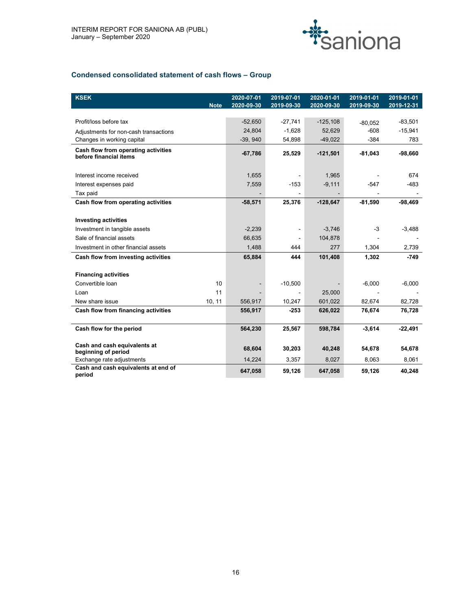

# Condensed consolidated statement of cash flows – Group

| <b>KSEK</b>                                                   | <b>Note</b> | 2020-07-01<br>2020-09-30 | 2019-07-01<br>2019-09-30 | 2020-01-01<br>2020-09-30 | 2019-01-01<br>2019-09-30 | 2019-01-01<br>2019-12-31 |
|---------------------------------------------------------------|-------------|--------------------------|--------------------------|--------------------------|--------------------------|--------------------------|
|                                                               |             |                          |                          |                          |                          |                          |
| Profit/loss before tax                                        |             | $-52,650$                | $-27,741$                | $-125,108$               | $-80,052$                | $-83,501$                |
| Adjustments for non-cash transactions                         |             | 24,804                   | $-1,628$                 | 52,629                   | $-608$                   | $-15,941$                |
| Changes in working capital                                    |             | $-39,940$                | 54,898                   | $-49,022$                | $-384$                   | 783                      |
| Cash flow from operating activities<br>before financial items |             | $-67,786$                | 25,529                   | $-121,501$               | $-81,043$                | $-98,660$                |
|                                                               |             |                          |                          |                          |                          |                          |
| Interest income received                                      |             | 1,655                    | $\blacksquare$           | 1,965                    |                          | 674                      |
| Interest expenses paid                                        |             | 7,559                    | $-153$                   | $-9,111$                 | $-547$                   | $-483$                   |
| Tax paid                                                      |             |                          | $\blacksquare$           |                          |                          |                          |
| Cash flow from operating activities                           |             | $-58,571$                | 25,376                   | $-128,647$               | $-81,590$                | $-98,469$                |
|                                                               |             |                          |                          |                          |                          |                          |
| <b>Investing activities</b>                                   |             |                          |                          |                          |                          |                          |
| Investment in tangible assets                                 |             | $-2,239$                 | $\overline{\phantom{a}}$ | $-3,746$                 | $-3$                     | $-3,488$                 |
| Sale of financial assets                                      |             | 66,635                   | $\sim$                   | 104,878                  |                          |                          |
| Investment in other financial assets                          |             | 1,488                    | 444                      | 277                      | 1,304                    | 2,739                    |
| Cash flow from investing activities                           |             | 65,884                   | 444                      | 101,408                  | 1,302                    | $-749$                   |
|                                                               |             |                          |                          |                          |                          |                          |
| <b>Financing activities</b>                                   |             |                          |                          |                          |                          |                          |
| Convertible Ioan                                              | 10          |                          | $-10,500$                |                          | $-6,000$                 | $-6,000$                 |
| Loan                                                          | 11          |                          | $\blacksquare$           | 25,000                   |                          |                          |
| New share issue                                               | 10, 11      | 556,917                  | 10,247                   | 601,022                  | 82,674                   | 82,728                   |
| Cash flow from financing activities                           |             | 556,917                  | $-253$                   | 626,022                  | 76,674                   | 76,728                   |
| Cash flow for the period                                      |             | 564,230                  | 25,567                   | 598,784                  | $-3,614$                 | $-22,491$                |
| Cash and cash equivalents at                                  |             | 68,604                   | 30,203                   | 40,248                   | 54,678                   | 54,678                   |
| beginning of period<br>Exchange rate adjustments              |             | 14,224                   | 3,357                    | 8,027                    | 8,063                    | 8,061                    |
| Cash and cash equivalents at end of                           |             |                          |                          |                          |                          |                          |
| period                                                        |             | 647,058                  | 59,126                   | 647,058                  | 59,126                   | 40,248                   |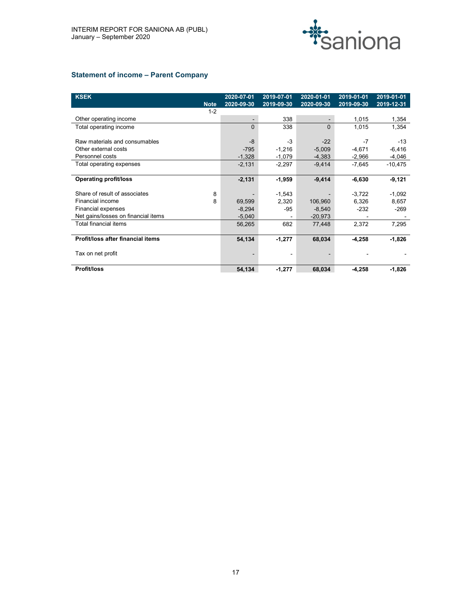

# Statement of income – Parent Company

| <b>KSEK</b>                         |             | 2020-07-01 | 2019-07-01               | 2020-01-01 | 2019-01-01               | 2019-01-01 |
|-------------------------------------|-------------|------------|--------------------------|------------|--------------------------|------------|
|                                     | <b>Note</b> | 2020-09-30 | 2019-09-30               | 2020-09-30 | 2019-09-30               | 2019-12-31 |
|                                     | $1 - 2$     |            |                          |            |                          |            |
| Other operating income              |             |            | 338                      |            | 1,015                    | 1,354      |
| Total operating income              |             | $\Omega$   | 338                      | $\Omega$   | 1,015                    | 1,354      |
|                                     |             |            |                          |            |                          |            |
| Raw materials and consumables       |             | -8         | $-3$                     | $-22$      | $-7$                     | $-13$      |
| Other external costs                |             | $-795$     | $-1,216$                 | $-5,009$   | $-4,671$                 | $-6,416$   |
| Personnel costs                     |             | $-1,328$   | $-1,079$                 | $-4,383$   | $-2,966$                 | $-4,046$   |
| Total operating expenses            |             | $-2,131$   | $-2,297$                 | $-9,414$   | $-7,645$                 | $-10,475$  |
|                                     |             |            |                          |            |                          |            |
| Operating profit/loss               |             | $-2,131$   | $-1,959$                 | $-9,414$   | $-6,630$                 | $-9,121$   |
| Share of result of associates       | 8           |            | $-1,543$                 |            | $-3,722$                 | $-1,092$   |
| Financial income                    | 8           | 69,599     | 2,320                    | 106,960    | 6,326                    | 8,657      |
| Financial expenses                  |             | $-8,294$   | $-95$                    | $-8,540$   | $-232$                   | $-269$     |
| Net gains/losses on financial items |             | $-5,040$   |                          | $-20,973$  |                          |            |
| Total financial items               |             | 56,265     | 682                      | 77,448     | 2,372                    | 7,295      |
|                                     |             |            |                          |            |                          |            |
| Profit/loss after financial items   |             | 54,134     | $-1,277$                 | 68,034     | $-4,258$                 | $-1,826$   |
| Tax on net profit                   |             |            | $\overline{\phantom{a}}$ |            | $\overline{\phantom{0}}$ |            |
|                                     |             |            |                          |            |                          |            |
| Profit/loss                         |             | 54,134     | $-1,277$                 | 68,034     | $-4,258$                 | $-1,826$   |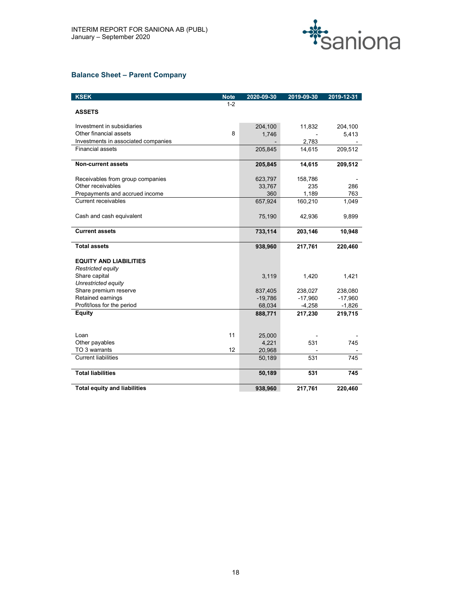

# Balance Sheet – Parent Company

| <b>KSEK</b><br><b>Note</b>          |         | 2020-09-30 | 2019-09-30               | 2019-12-31 |
|-------------------------------------|---------|------------|--------------------------|------------|
|                                     | $1 - 2$ |            |                          |            |
| <b>ASSETS</b>                       |         |            |                          |            |
| Investment in subsidiaries          |         |            |                          |            |
| Other financial assets              | 8       | 204,100    | 11,832<br>$\overline{a}$ | 204,100    |
| Investments in associated companies |         | 1,746      | 2,783                    | 5,413      |
| <b>Financial assets</b>             |         |            |                          |            |
|                                     |         | 205,845    | 14,615                   | 209,512    |
| Non-current assets                  |         | 205,845    | 14,615                   | 209,512    |
| Receivables from group companies    |         | 623,797    | 158,786                  |            |
| Other receivables                   |         | 33,767     | 235                      | 286        |
| Prepayments and accrued income      |         | 360        | 1,189                    | 763        |
| Current receivables                 |         | 657,924    | 160,210                  | 1,049      |
| Cash and cash equivalent            |         | 75,190     | 42,936                   | 9,899      |
| <b>Current assets</b>               |         | 733,114    | 203,146                  | 10,948     |
| <b>Total assets</b>                 |         | 938,960    | 217,761                  | 220,460    |
| <b>EQUITY AND LIABILITIES</b>       |         |            |                          |            |
| Restricted equity                   |         |            |                          |            |
| Share capital                       |         | 3,119      | 1,420                    | 1,421      |
| Unrestricted equity                 |         |            |                          |            |
| Share premium reserve               |         | 837,405    | 238,027                  | 238,080    |
| Retained earnings                   |         | $-19,786$  | $-17,960$                | $-17,960$  |
| Profit/loss for the period          |         | 68,034     | $-4,258$                 | $-1,826$   |
| Equity                              |         | 888,771    | 217,230                  | 219,715    |
|                                     |         |            |                          |            |
|                                     |         |            |                          |            |
| Loan                                | 11      | 25,000     |                          |            |
| Other payables                      |         | 4,221      | 531                      | 745        |
| TO 3 warrants                       | 12      | 20,968     | $\blacksquare$           |            |
| <b>Current liabilities</b>          |         | 50,189     | 531                      | 745        |
| <b>Total liabilities</b>            |         | 50,189     | 531                      | 745        |
| <b>Total equity and liabilities</b> |         | 938,960    | 217,761                  | 220,460    |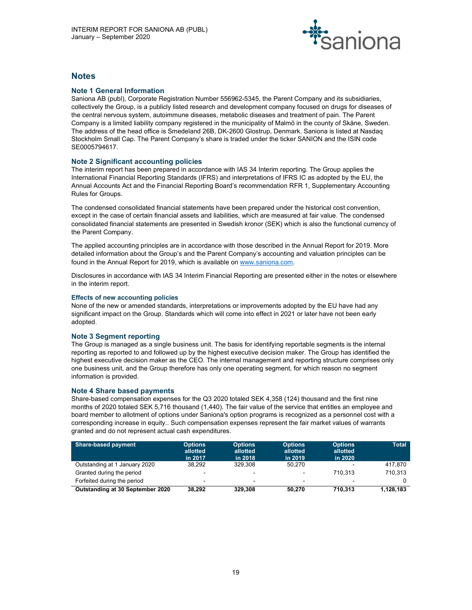

# **Notes**

# Note 1 General Information

Saniona AB (publ), Corporate Registration Number 556962-5345, the Parent Company and its subsidiaries, collectively the Group, is a publicly listed research and development company focused on drugs for diseases of the central nervous system, autoimmune diseases, metabolic diseases and treatment of pain. The Parent Company is a limited liability company registered in the municipality of Malmö in the county of Skåne, Sweden. The address of the head office is Smedeland 26B, DK-2600 Glostrup, Denmark. Saniona is listed at Nasdaq Stockholm Small Cap. The Parent Company's share is traded under the ticker SANION and the ISIN code SE0005794617.

# Note 2 Significant accounting policies

The interim report has been prepared in accordance with IAS 34 Interim reporting. The Group applies the International Financial Reporting Standards (IFRS) and interpretations of IFRS IC as adopted by the EU, the Annual Accounts Act and the Financial Reporting Board's recommendation RFR 1, Supplementary Accounting Rules for Groups.

The condensed consolidated financial statements have been prepared under the historical cost convention, except in the case of certain financial assets and liabilities, which are measured at fair value. The condensed consolidated financial statements are presented in Swedish kronor (SEK) which is also the functional currency of the Parent Company.

The applied accounting principles are in accordance with those described in the Annual Report for 2019. More detailed information about the Group's and the Parent Company's accounting and valuation principles can be

found in the Annual Report for 2019, which is available on www.saniona.com.<br>Disclosures in accordance with IAS 34 Interim Financial Reporting are presented either in the notes or elsewhere in the interim report.

# Effects of new accounting policies

None of the new or amended standards, interpretations or improvements adopted by the EU have had any significant impact on the Group. Standards which will come into effect in 2021 or later have not been early adopted.

# Note 3 Segment reporting

The Group is managed as a single business unit. The basis for identifying reportable segments is the internal reporting as reported to and followed up by the highest executive decision maker. The Group has identified the highest executive decision maker as the CEO. The internal management and reporting structure comprises only one business unit, and the Group therefore has only one operating segment, for which reason no segment information is provided.

# Note 4 Share based payments

Share-based compensation expenses for the Q3 2020 totaled SEK 4,358 (124) thousand and the first nine months of 2020 totaled SEK 5,716 thousand (1,440). The fair value of the service that entitles an employee and board member to allotment of options under Saniona's option programs is recognized as a personnel cost with a corresponding increase in equity.. Such compensation expenses represent the fair market values of warrants granted and do not represent actual cash expenditures.

| Share-based payment              | <b>Options</b><br>allotted<br>in 2017 | <b>Options</b><br>allotted<br>in 2018 | <b>Options</b><br>allotted<br>in 2019 | <b>Options</b><br>allotted<br>in 2020 | <b>Total</b> |
|----------------------------------|---------------------------------------|---------------------------------------|---------------------------------------|---------------------------------------|--------------|
| Outstanding at 1 January 2020    | 38.292                                | 329.308                               | 50.270                                | $\sim$                                | 417.870      |
| Granted during the period        | . .                                   | $\overline{\phantom{a}}$              | $\sim$                                | 710.313                               | 710.313      |
| Forfeited during the period      |                                       | $\sim$                                | $\sim$                                |                                       |              |
| Outstanding at 30 September 2020 | 38.292                                | 329.308                               | 50.270                                | 710.313                               | 1,128,183    |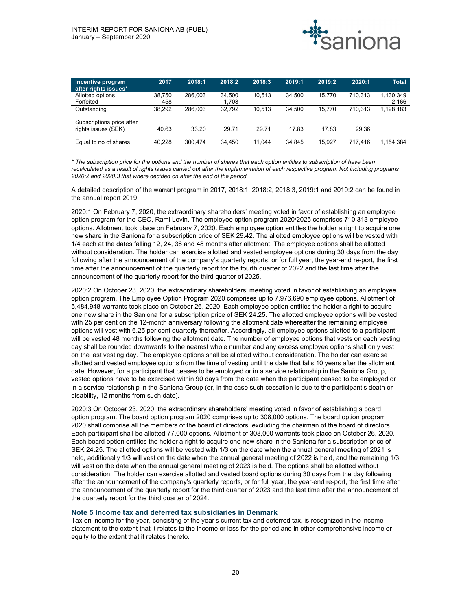

| Incentive program                                | 2017   | 2018:1  | 2018:2   | 2018:3 | 2019:1 | 2019:2 | 2020:1                   | <b>Total</b> |
|--------------------------------------------------|--------|---------|----------|--------|--------|--------|--------------------------|--------------|
| after rights issues*                             |        |         |          |        |        |        |                          |              |
| Allotted options                                 | 38,750 | 286,003 | 34,500   | 10.513 | 34,500 | 15.770 | 710,313                  | .130.349     |
| Forfeited                                        | $-458$ | $\sim$  | $-1.708$ | -      | $\sim$ |        | $\overline{\phantom{a}}$ | $-2,166$     |
| Outstanding                                      | 38,292 | 286,003 | 32,792   | 10,513 | 34,500 | 15.770 | 710,313                  | .128.183     |
| Subscriptions price after<br>rights issues (SEK) | 40.63  | 33.20   | 29.71    | 29.71  | 17.83  | 17.83  | 29.36                    |              |
| Equal to no of shares                            | 40,228 | 300,474 | 34.450   | 11.044 | 34,845 | 15,927 | 717.416                  | .154,384     |

\* The subscription price for the options and the number of shares that each option entitles to subscription of have been recalculated as a result of rights issues carried out after the implementation of each respective program. Not including programs 2020:2 and 2020:3 that where decided on after the end of the period.

A detailed description of the warrant program in 2017, 2018:1, 2018:2, 2018:3, 2019:1 and 2019:2 can be found in the annual report 2019.

2020:1 On February 7, 2020, the extraordinary shareholders' meeting voted in favor of establishing an employee option program for the CEO, Rami Levin. The employee option program 2020/2025 comprises 710,313 employee options. Allotment took place on February 7, 2020. Each employee option entitles the holder a right to acquire one new share in the Saniona for a subscription price of SEK 29.42. The allotted employee options will be vested with 1/4 each at the dates falling 12, 24, 36 and 48 months after allotment. The employee options shall be allotted without consideration. The holder can exercise allotted and vested employee options during 30 days from the day following after the announcement of the company's quarterly reports, or for full year, the year-end re-port, the first time after the announcement of the quarterly report for the fourth quarter of 2022 and the last time after the announcement of the quarterly report for the third quarter of 2025.

2020:2 On October 23, 2020, the extraordinary shareholders' meeting voted in favor of establishing an employee option program. The Employee Option Program 2020 comprises up to 7,976,690 employee options. Allotment of 5,484,948 warrants took place on October 26, 2020. Each employee option entitles the holder a right to acquire one new share in the Saniona for a subscription price of SEK 24.25. The allotted employee options will be vested with 25 per cent on the 12-month anniversary following the allotment date whereafter the remaining employee options will vest with 6.25 per cent quarterly thereafter. Accordingly, all employee options allotted to a participant will be vested 48 months following the allotment date. The number of employee options that vests on each vesting day shall be rounded downwards to the nearest whole number and any excess employee options shall only vest on the last vesting day. The employee options shall be allotted without consideration. The holder can exercise allotted and vested employee options from the time of vesting until the date that falls 10 years after the allotment date. However, for a participant that ceases to be employed or in a service relationship in the Saniona Group, vested options have to be exercised within 90 days from the date when the participant ceased to be employed or in a service relationship in the Saniona Group (or, in the case such cessation is due to the participant's death or disability, 12 months from such date).

2020:3 On October 23, 2020, the extraordinary shareholders' meeting voted in favor of establishing a board option program. The board option program 2020 comprises up to 308,000 options. The board option program 2020 shall comprise all the members of the board of directors, excluding the chairman of the board of directors. Each participant shall be allotted 77,000 options. Allotment of 308,000 warrants took place on October 26, 2020. Each board option entitles the holder a right to acquire one new share in the Saniona for a subscription price of SEK 24.25. The allotted options will be vested with 1/3 on the date when the annual general meeting of 2021 is held, additionally 1/3 will vest on the date when the annual general meeting of 2022 is held, and the remaining 1/3 will vest on the date when the annual general meeting of 2023 is held. The options shall be allotted without consideration. The holder can exercise allotted and vested board options during 30 days from the day following after the announcement of the company's quarterly reports, or for full year, the year-end re-port, the first time after the announcement of the quarterly report for the third quarter of 2023 and the last time after the announcement of the quarterly report for the third quarter of 2024.

### Note 5 Income tax and deferred tax subsidiaries in Denmark

Tax on income for the year, consisting of the year's current tax and deferred tax, is recognized in the income statement to the extent that it relates to the income or loss for the period and in other comprehensive income or equity to the extent that it relates thereto.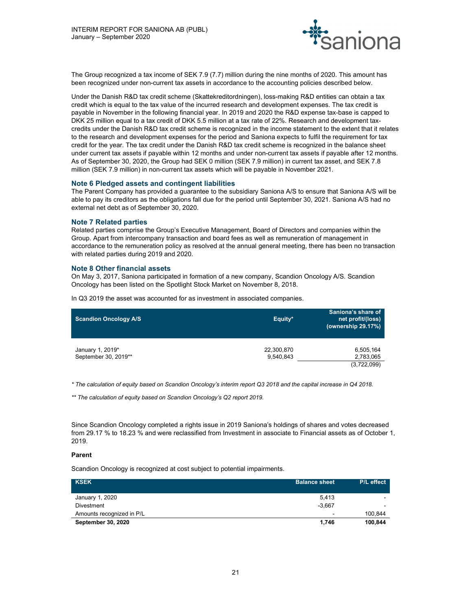

The Group recognized a tax income of SEK 7.9 (7.7) million during the nine months of 2020. This amount has been recognized under non-current tax assets in accordance to the accounting policies described below.

Under the Danish R&D tax credit scheme (Skattekreditordningen), loss-making R&D entities can obtain a tax credit which is equal to the tax value of the incurred research and development expenses. The tax credit is payable in November in the following financial year. In 2019 and 2020 the R&D expense tax-base is capped to DKK 25 million equal to a tax credit of DKK 5.5 million at a tax rate of 22%. Research and development taxcredits under the Danish R&D tax credit scheme is recognized in the income statement to the extent that it relates to the research and development expenses for the period and Saniona expects to fulfil the requirement for tax credit for the year. The tax credit under the Danish R&D tax credit scheme is recognized in the balance sheet under current tax assets if payable within 12 months and under non-current tax assets if payable after 12 months. As of September 30, 2020, the Group had SEK 0 million (SEK 7.9 million) in current tax asset, and SEK 7.8 million (SEK 7.9 million) in non-current tax assets which will be payable in November 2021.

### Note 6 Pledged assets and contingent liabilities

The Parent Company has provided a guarantee to the subsidiary Saniona A/S to ensure that Saniona A/S will be able to pay its creditors as the obligations fall due for the period until September 30, 2021. Saniona A/S had no external net debt as of September 30, 2020.

### Note 7 Related parties

Related parties comprise the Group's Executive Management, Board of Directors and companies within the Group. Apart from intercompany transaction and board fees as well as remuneration of management in accordance to the remuneration policy as resolved at the annual general meeting, there has been no transaction with related parties during 2019 and 2020.

### Note 8 Other financial assets

On May 3, 2017, Saniona participated in formation of a new company, Scandion Oncology A/S. Scandion Oncology has been listed on the Spotlight Stock Market on November 8, 2018.

In Q3 2019 the asset was accounted for as investment in associated companies.

| Scandion Oncology A/S                    | Equity*                 | Saniona's share of<br>net profit/(loss)<br>(ownership 29.17%) |
|------------------------------------------|-------------------------|---------------------------------------------------------------|
| January 1, 2019*<br>September 30, 2019** | 22,300,870<br>9,540,843 | 6,505,164<br>2,783,065<br>(3,722,099)                         |

\* The calculation of equity based on Scandion Oncology's interim report Q3 2018 and the capital increase in Q4 2018.

\*\* The calculation of equity based on Scandion Oncology's Q2 report 2019.

Since Scandion Oncology completed a rights issue in 2019 Saniona's holdings of shares and votes decreased from 29.17 % to 18.23 % and were reclassified from Investment in associate to Financial assets as of October 1, 2019.

### Parent

Scandion Oncology is recognized at cost subject to potential impairments.

| <b>KSEK</b>               | <b>Balance sheet</b> | P/L effect |
|---------------------------|----------------------|------------|
| January 1, 2020           | 5,413                |            |
| <b>Divestment</b>         | $-3.667$             | -          |
| Amounts recognized in P/L | -                    | 100.844    |
| <b>September 30, 2020</b> | 1.746                | 100,844    |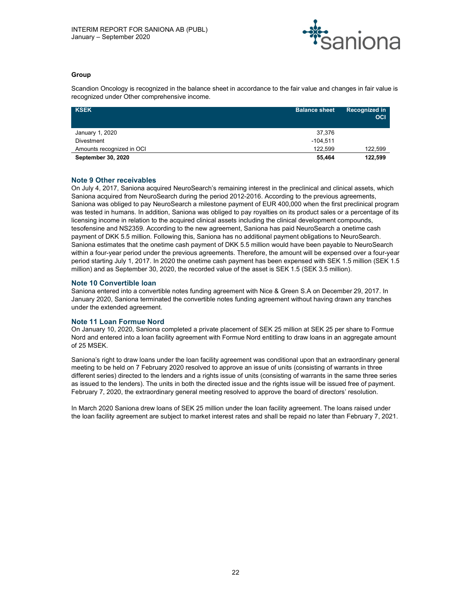

# Group

Scandion Oncology is recognized in the balance sheet in accordance to the fair value and changes in fair value is recognized under Other comprehensive income.

| <b>KSEK</b>               | <b>Balance sheet</b> | <b>Recognized in</b><br><b>OCI</b> |
|---------------------------|----------------------|------------------------------------|
| January 1, 2020           | 37,376               |                                    |
| Divestment                | $-104.511$           |                                    |
| Amounts recognized in OCI | 122.599              | 122,599                            |
| <b>September 30, 2020</b> | 55,464               | 122,599                            |

# Note 9 Other receivables

On July 4, 2017, Saniona acquired NeuroSearch's remaining interest in the preclinical and clinical assets, which Saniona acquired from NeuroSearch during the period 2012-2016. According to the previous agreements, Saniona was obliged to pay NeuroSearch a milestone payment of EUR 400,000 when the first preclinical program was tested in humans. In addition, Saniona was obliged to pay royalties on its product sales or a percentage of its licensing income in relation to the acquired clinical assets including the clinical development compounds, tesofensine and NS2359. According to the new agreement, Saniona has paid NeuroSearch a onetime cash payment of DKK 5.5 million. Following this, Saniona has no additional payment obligations to NeuroSearch. Saniona estimates that the onetime cash payment of DKK 5.5 million would have been payable to NeuroSearch within a four-year period under the previous agreements. Therefore, the amount will be expensed over a four-year period starting July 1, 2017. In 2020 the onetime cash payment has been expensed with SEK 1.5 million (SEK 1.5 million) and as September 30, 2020, the recorded value of the asset is SEK 1.5 (SEK 3.5 million).

# Note 10 Convertible loan

Saniona entered into a convertible notes funding agreement with Nice & Green S.A on December 29, 2017. In January 2020, Saniona terminated the convertible notes funding agreement without having drawn any tranches under the extended agreement.

### Note 11 Loan Formue Nord

On January 10, 2020, Saniona completed a private placement of SEK 25 million at SEK 25 per share to Formue Nord and entered into a loan facility agreement with Formue Nord entitling to draw loans in an aggregate amount of 25 MSEK.

Saniona's right to draw loans under the loan facility agreement was conditional upon that an extraordinary general meeting to be held on 7 February 2020 resolved to approve an issue of units (consisting of warrants in three different series) directed to the lenders and a rights issue of units (consisting of warrants in the same three series as issued to the lenders). The units in both the directed issue and the rights issue will be issued free of payment. February 7, 2020, the extraordinary general meeting resolved to approve the board of directors' resolution.

In March 2020 Saniona drew loans of SEK 25 million under the loan facility agreement. The loans raised under the loan facility agreement are subject to market interest rates and shall be repaid no later than February 7, 2021.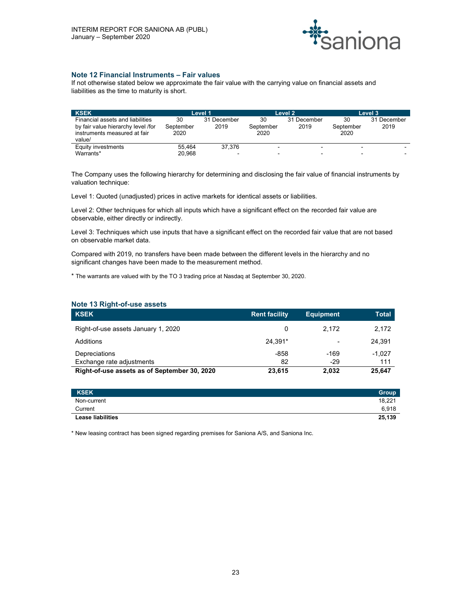

# Note 12 Financial Instruments – Fair values

If not otherwise stated below we approximate the fair value with the carrying value on financial assets and liabilities as the time to maturity is short.

| <b>KSEK</b>                        |           | Level 1     |           | Level 2                  |           | Level 3                  |
|------------------------------------|-----------|-------------|-----------|--------------------------|-----------|--------------------------|
| Financial assets and liabilities   | 30        | 31 December | 30        | 31 December              | 30        | 31 December              |
| by fair value hierarchy level /for | September | 2019        | September | 2019                     | September | 2019                     |
| instruments measured at fair       | 2020      |             | 2020      |                          | 2020      |                          |
| value/                             |           |             |           |                          |           |                          |
| Equity investments                 | 55.464    | 37.376      |           | $\overline{\phantom{0}}$ |           | $\overline{\phantom{0}}$ |
| Warrants*                          | 20.968    | $\sim$      |           | $\overline{\phantom{0}}$ |           | $\overline{\phantom{a}}$ |

The Company uses the following hierarchy for determining and disclosing the fair value of financial instruments by valuation technique:

Level 1: Quoted (unadjusted) prices in active markets for identical assets or liabilities.

Level 2: Other techniques for which all inputs which have a significant effect on the recorded fair value are observable, either directly or indirectly.

Level 3: Techniques which use inputs that have a significant effect on the recorded fair value that are not based on observable market data.

Compared with 2019, no transfers have been made between the different levels in the hierarchy and no significant changes have been made to the measurement method.

\* The warrants are valued with by the TO 3 trading price at Nasdaq at September 30, 2020.

| Note 13 Right-of-use assets                  |                      |                  |              |  |  |  |
|----------------------------------------------|----------------------|------------------|--------------|--|--|--|
| <b>KSEK</b>                                  | <b>Rent facility</b> | <b>Equipment</b> | <b>Total</b> |  |  |  |
| Right-of-use assets January 1, 2020          | 0                    | 2.172            | 2,172        |  |  |  |
| Additions                                    | 24.391*              | ٠                | 24.391       |  |  |  |
| Depreciations                                | $-858$               | $-169$           | $-1.027$     |  |  |  |
| Exchange rate adjustments                    | 82                   | $-29$            | 111          |  |  |  |
| Right-of-use assets as of September 30, 2020 | 23,615               | 2,032            | 25,647       |  |  |  |

| <b>KSEK</b>              | Group  |
|--------------------------|--------|
| Non-current              | 18,221 |
| Current                  | 6,918  |
| <b>Lease liabilities</b> | 25,139 |

\* New leasing contract has been signed regarding premises for Saniona A/S, and Saniona Inc.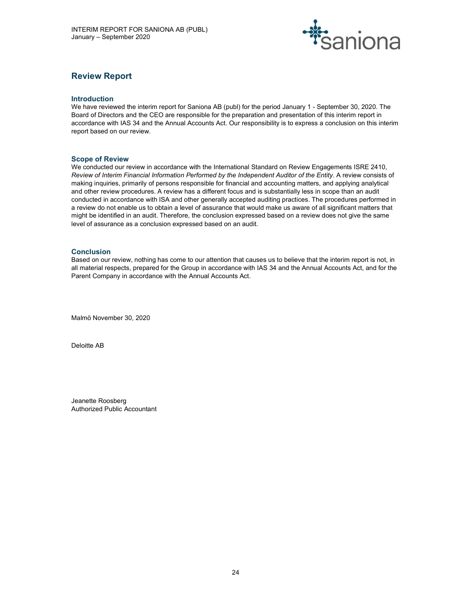

# Review Report

### Introduction

We have reviewed the interim report for Saniona AB (publ) for the period January 1 - September 30, 2020. The Board of Directors and the CEO are responsible for the preparation and presentation of this interim report in accordance with IAS 34 and the Annual Accounts Act. Our responsibility is to express a conclusion on this interim report based on our review.

### Scope of Review

We conducted our review in accordance with the International Standard on Review Engagements ISRE 2410. Review of Interim Financial Information Performed by the Independent Auditor of the Entity. A review consists of making inquiries, primarily of persons responsible for financial and accounting matters, and applying analytical and other review procedures. A review has a different focus and is substantially less in scope than an audit conducted in accordance with ISA and other generally accepted auditing practices. The procedures performed in a review do not enable us to obtain a level of assurance that would make us aware of all significant matters that might be identified in an audit. Therefore, the conclusion expressed based on a review does not give the same level of assurance as a conclusion expressed based on an audit.

### **Conclusion**

Based on our review, nothing has come to our attention that causes us to believe that the interim report is not, in all material respects, prepared for the Group in accordance with IAS 34 and the Annual Accounts Act, and for the Parent Company in accordance with the Annual Accounts Act.

Malmö November 30, 2020

Deloitte AB

Jeanette Roosberg Authorized Public Accountant